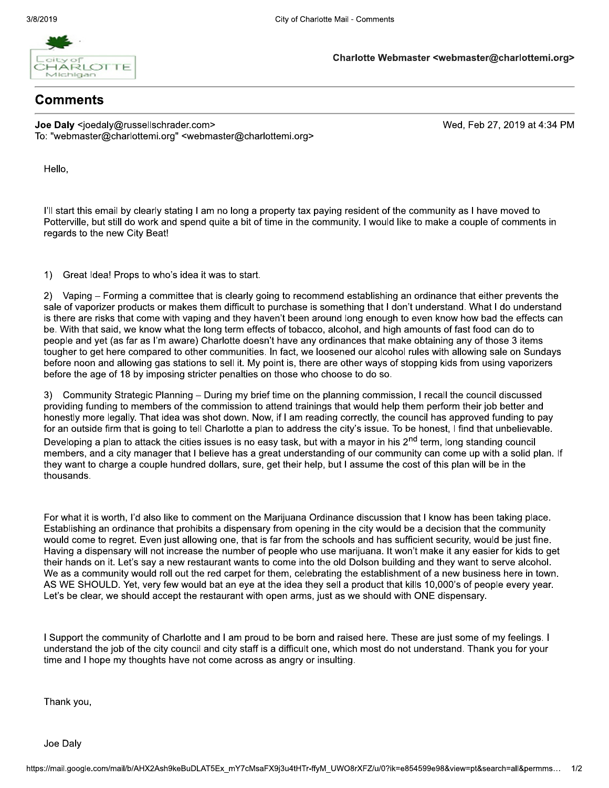

Charlotte Webmaster <webmaster@charlottemi.org>

## Comments

Joe Daly <joedaly@russellschrader.com> To: "webmaster@charlottemi.org" <webmaster@charlottemi.org> Wed, Feb 27, 2019 at 4:34 PM

Hello,

I'll start this email by clearly stating I am no long a property tax paying resident of the community as I have moved to Potterville, but still do work and spend quite a bit of time in the community. I would like to make a couple of comments in regards to the new City Beat!

Great Idea! Props to who's idea it was to start.  $1)$ 

Vaping - Forming a committee that is clearly going to recommend establishing an ordinance that either prevents the  $2)$ sale of vaporizer products or makes them difficult to purchase is something that I don't understand. What I do understand is there are risks that come with vaping and they haven't been around long enough to even know how bad the effects can be. With that said, we know what the long term effects of tobacco, alcohol, and high amounts of fast food can do to people and yet (as far as I'm aware) Charlotte doesn't have any ordinances that make obtaining any of those 3 items tougher to get here compared to other communities. In fact, we loosened our alcohol rules with allowing sale on Sundays before noon and allowing gas stations to sell it. My point is, there are other ways of stopping kids from using vaporizers before the age of 18 by imposing stricter penalties on those who choose to do so.

3) Community Strategic Planning – During my brief time on the planning commission, I recall the council discussed providing funding to members of the commission to attend trainings that would help them perform their job better and honestly more legally. That idea was shot down. Now, if I am reading correctly, the council has approved funding to pay for an outside firm that is going to tell Charlotte a plan to address the city's issue. To be honest, I find that unbelievable. Developing a plan to attack the cities issues is no easy task, but with a mayor in his 2<sup>nd</sup> term, long standing council members, and a city manager that I believe has a great understanding of our community can come up with a solid plan. If they want to charge a couple hundred dollars, sure, get their help, but I assume the cost of this plan will be in the thousands.

For what it is worth, I'd also like to comment on the Marijuana Ordinance discussion that I know has been taking place. Establishing an ordinance that prohibits a dispensary from opening in the city would be a decision that the community would come to regret. Even just allowing one, that is far from the schools and has sufficient security, would be just fine. Having a dispensary will not increase the number of people who use marijuana. It won't make it any easier for kids to get their hands on it. Let's say a new restaurant wants to come into the old Dolson building and they want to serve alcohol. We as a community would roll out the red carpet for them, celebrating the establishment of a new business here in town. AS WE SHOULD. Yet, very few would bat an eye at the idea they sell a product that kills 10,000's of people every year. Let's be clear, we should accept the restaurant with open arms, just as we should with ONE dispensary.

I Support the community of Charlotte and I am proud to be born and raised here. These are just some of my feelings. I understand the job of the city council and city staff is a difficult one, which most do not understand. Thank you for your time and I hope my thoughts have not come across as angry or insulting.

Thank you,

Joe Daly